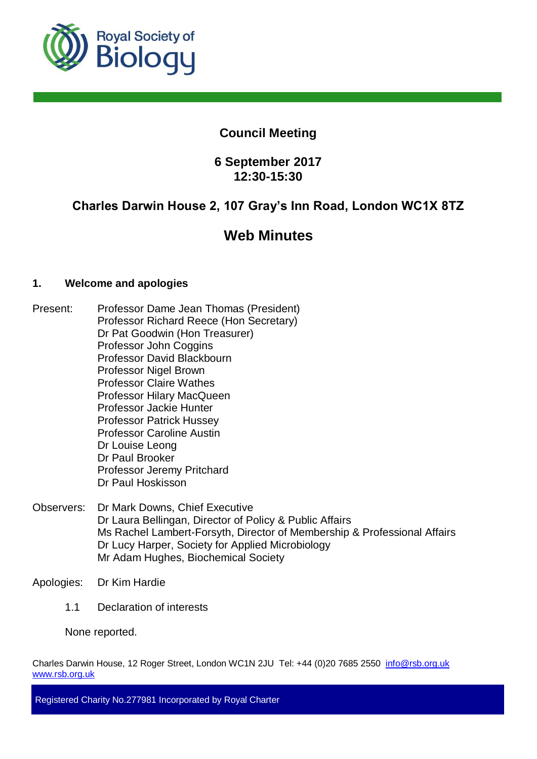

# **Council Meeting**

# **6 September 2017 12:30-15:30**

# **Charles Darwin House 2, 107 Gray's Inn Road, London WC1X 8TZ**

# **Web Minutes**

# **1. Welcome and apologies**

- Present: Professor Dame Jean Thomas (President) Professor Richard Reece (Hon Secretary) Dr Pat Goodwin (Hon Treasurer) Professor John Coggins Professor David Blackbourn Professor Nigel Brown Professor Claire Wathes Professor Hilary MacQueen Professor Jackie Hunter Professor Patrick Hussey Professor Caroline Austin Dr Louise Leong Dr Paul Brooker Professor Jeremy Pritchard Dr Paul Hoskisson
- Observers: Dr Mark Downs, Chief Executive Dr Laura Bellingan, Director of Policy & Public Affairs Ms Rachel Lambert-Forsyth, Director of Membership & Professional Affairs Dr Lucy Harper, Society for Applied Microbiology Mr Adam Hughes, Biochemical Society
- Apologies: Dr Kim Hardie
	- 1.1 Declaration of interests

None reported.

Charles Darwin House, 12 Roger Street, London WC1N 2JU Tel: +44 (0)20 7685 2550 info@rsb.org.uk [www.rsb.org.uk](http://www.rsb.org.uk/)

Registered Charity No.277981 Incorporated by Royal Charter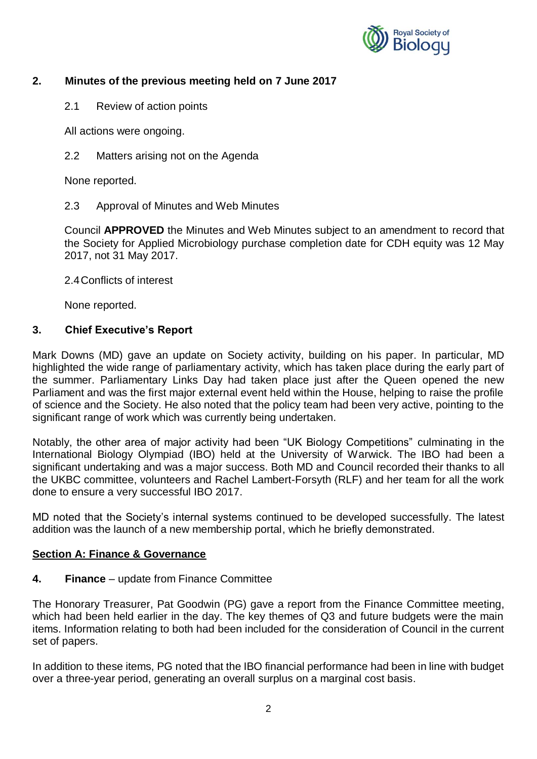

# **2. Minutes of the previous meeting held on 7 June 2017**

2.1 Review of action points

All actions were ongoing.

2.2 Matters arising not on the Agenda

None reported.

2.3 Approval of Minutes and Web Minutes

Council **APPROVED** the Minutes and Web Minutes subject to an amendment to record that the Society for Applied Microbiology purchase completion date for CDH equity was 12 May 2017, not 31 May 2017.

2.4Conflicts of interest

None reported.

# **3. Chief Executive's Report**

Mark Downs (MD) gave an update on Society activity, building on his paper. In particular, MD highlighted the wide range of parliamentary activity, which has taken place during the early part of the summer. Parliamentary Links Day had taken place just after the Queen opened the new Parliament and was the first major external event held within the House, helping to raise the profile of science and the Society. He also noted that the policy team had been very active, pointing to the significant range of work which was currently being undertaken.

Notably, the other area of major activity had been "UK Biology Competitions" culminating in the International Biology Olympiad (IBO) held at the University of Warwick. The IBO had been a significant undertaking and was a major success. Both MD and Council recorded their thanks to all the UKBC committee, volunteers and Rachel Lambert-Forsyth (RLF) and her team for all the work done to ensure a very successful IBO 2017.

MD noted that the Society's internal systems continued to be developed successfully. The latest addition was the launch of a new membership portal, which he briefly demonstrated.

#### **Section A: Finance & Governance**

**4. Finance** – update from Finance Committee

The Honorary Treasurer, Pat Goodwin (PG) gave a report from the Finance Committee meeting, which had been held earlier in the day. The key themes of Q3 and future budgets were the main items. Information relating to both had been included for the consideration of Council in the current set of papers.

In addition to these items, PG noted that the IBO financial performance had been in line with budget over a three-year period, generating an overall surplus on a marginal cost basis.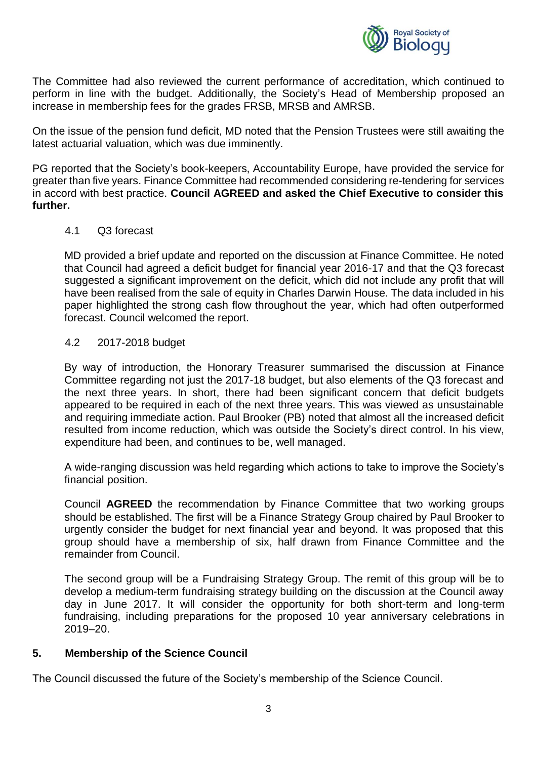

The Committee had also reviewed the current performance of accreditation, which continued to perform in line with the budget. Additionally, the Society's Head of Membership proposed an increase in membership fees for the grades FRSB, MRSB and AMRSB.

On the issue of the pension fund deficit, MD noted that the Pension Trustees were still awaiting the latest actuarial valuation, which was due imminently.

PG reported that the Society's book-keepers, Accountability Europe, have provided the service for greater than five years. Finance Committee had recommended considering re-tendering for services in accord with best practice. **Council AGREED and asked the Chief Executive to consider this further.**

#### 4.1 Q3 forecast

MD provided a brief update and reported on the discussion at Finance Committee. He noted that Council had agreed a deficit budget for financial year 2016-17 and that the Q3 forecast suggested a significant improvement on the deficit, which did not include any profit that will have been realised from the sale of equity in Charles Darwin House. The data included in his paper highlighted the strong cash flow throughout the year, which had often outperformed forecast. Council welcomed the report.

#### 4.2 2017-2018 budget

By way of introduction, the Honorary Treasurer summarised the discussion at Finance Committee regarding not just the 2017-18 budget, but also elements of the Q3 forecast and the next three years. In short, there had been significant concern that deficit budgets appeared to be required in each of the next three years. This was viewed as unsustainable and requiring immediate action. Paul Brooker (PB) noted that almost all the increased deficit resulted from income reduction, which was outside the Society's direct control. In his view, expenditure had been, and continues to be, well managed.

A wide-ranging discussion was held regarding which actions to take to improve the Society's financial position.

Council **AGREED** the recommendation by Finance Committee that two working groups should be established. The first will be a Finance Strategy Group chaired by Paul Brooker to urgently consider the budget for next financial year and beyond. It was proposed that this group should have a membership of six, half drawn from Finance Committee and the remainder from Council.

The second group will be a Fundraising Strategy Group. The remit of this group will be to develop a medium-term fundraising strategy building on the discussion at the Council away day in June 2017. It will consider the opportunity for both short-term and long-term fundraising, including preparations for the proposed 10 year anniversary celebrations in 2019–20.

#### **5. Membership of the Science Council**

The Council discussed the future of the Society's membership of the Science Council.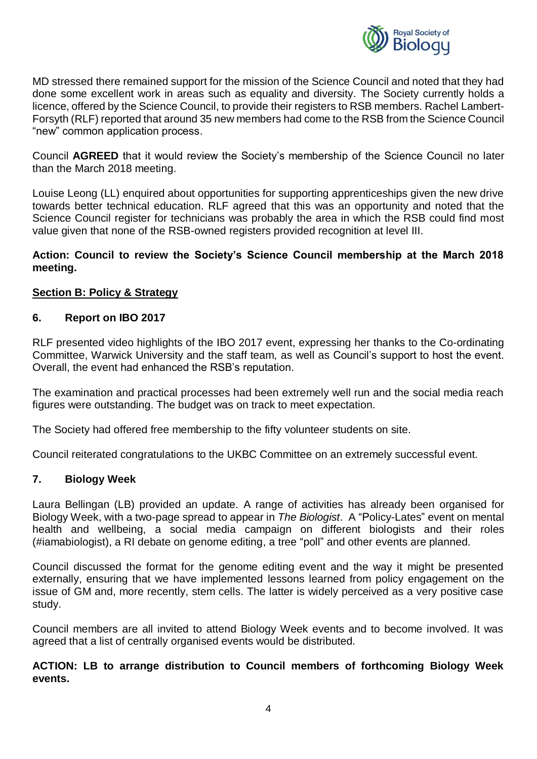

MD stressed there remained support for the mission of the Science Council and noted that they had done some excellent work in areas such as equality and diversity. The Society currently holds a licence, offered by the Science Council, to provide their registers to RSB members. Rachel Lambert-Forsyth (RLF) reported that around 35 new members had come to the RSB from the Science Council "new" common application process.

Council **AGREED** that it would review the Society's membership of the Science Council no later than the March 2018 meeting.

Louise Leong (LL) enquired about opportunities for supporting apprenticeships given the new drive towards better technical education. RLF agreed that this was an opportunity and noted that the Science Council register for technicians was probably the area in which the RSB could find most value given that none of the RSB-owned registers provided recognition at level III.

### **Action: Council to review the Society's Science Council membership at the March 2018 meeting.**

# **Section B: Policy & Strategy**

#### **6. Report on IBO 2017**

RLF presented video highlights of the IBO 2017 event, expressing her thanks to the Co-ordinating Committee, Warwick University and the staff team, as well as Council's support to host the event. Overall, the event had enhanced the RSB's reputation.

The examination and practical processes had been extremely well run and the social media reach figures were outstanding. The budget was on track to meet expectation.

The Society had offered free membership to the fifty volunteer students on site.

Council reiterated congratulations to the UKBC Committee on an extremely successful event.

#### **7. Biology Week**

Laura Bellingan (LB) provided an update. A range of activities has already been organised for Biology Week, with a two-page spread to appear in *The Biologist*. A "Policy-Lates" event on mental health and wellbeing, a social media campaign on different biologists and their roles (#iamabiologist), a RI debate on genome editing, a tree "poll" and other events are planned.

Council discussed the format for the genome editing event and the way it might be presented externally, ensuring that we have implemented lessons learned from policy engagement on the issue of GM and, more recently, stem cells. The latter is widely perceived as a very positive case study.

Council members are all invited to attend Biology Week events and to become involved. It was agreed that a list of centrally organised events would be distributed.

# **ACTION: LB to arrange distribution to Council members of forthcoming Biology Week events.**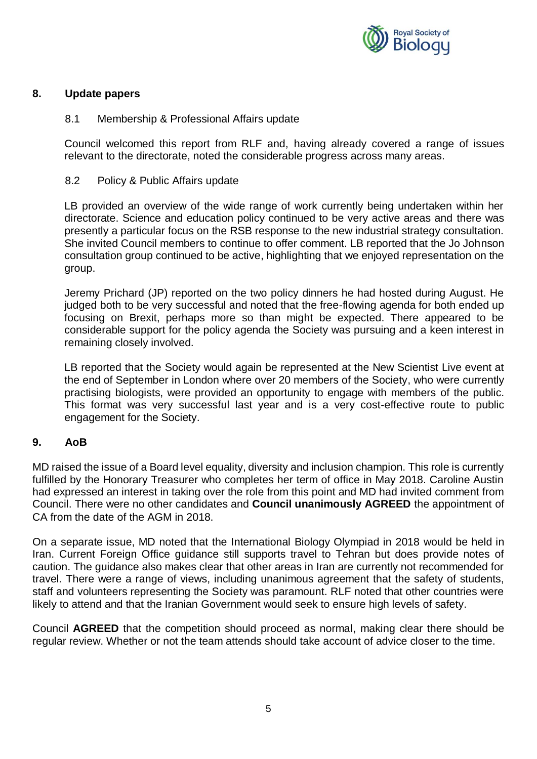

#### **8. Update papers**

#### 8.1 Membership & Professional Affairs update

Council welcomed this report from RLF and, having already covered a range of issues relevant to the directorate, noted the considerable progress across many areas.

#### 8.2 Policy & Public Affairs update

LB provided an overview of the wide range of work currently being undertaken within her directorate. Science and education policy continued to be very active areas and there was presently a particular focus on the RSB response to the new industrial strategy consultation. She invited Council members to continue to offer comment. LB reported that the Jo Johnson consultation group continued to be active, highlighting that we enjoyed representation on the group.

Jeremy Prichard (JP) reported on the two policy dinners he had hosted during August. He judged both to be very successful and noted that the free-flowing agenda for both ended up focusing on Brexit, perhaps more so than might be expected. There appeared to be considerable support for the policy agenda the Society was pursuing and a keen interest in remaining closely involved.

LB reported that the Society would again be represented at the New Scientist Live event at the end of September in London where over 20 members of the Society, who were currently practising biologists, were provided an opportunity to engage with members of the public. This format was very successful last year and is a very cost-effective route to public engagement for the Society.

#### **9. AoB**

MD raised the issue of a Board level equality, diversity and inclusion champion. This role is currently fulfilled by the Honorary Treasurer who completes her term of office in May 2018. Caroline Austin had expressed an interest in taking over the role from this point and MD had invited comment from Council. There were no other candidates and **Council unanimously AGREED** the appointment of CA from the date of the AGM in 2018.

On a separate issue, MD noted that the International Biology Olympiad in 2018 would be held in Iran. Current Foreign Office guidance still supports travel to Tehran but does provide notes of caution. The guidance also makes clear that other areas in Iran are currently not recommended for travel. There were a range of views, including unanimous agreement that the safety of students, staff and volunteers representing the Society was paramount. RLF noted that other countries were likely to attend and that the Iranian Government would seek to ensure high levels of safety.

Council **AGREED** that the competition should proceed as normal, making clear there should be regular review. Whether or not the team attends should take account of advice closer to the time.